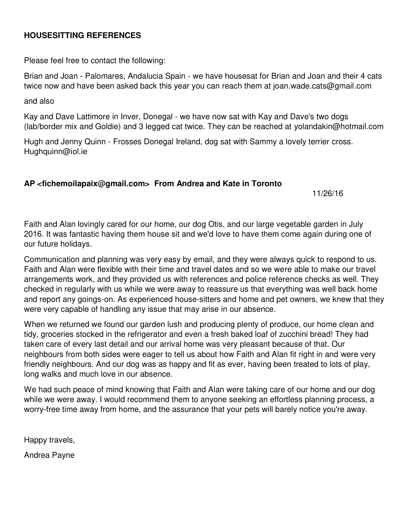## **HOUSESITTING REFERENCES**

Please feel free to contact the following:

Brian and Joan - Palomares, Andalucia Spain - we have housesat for Brian and Joan and their 4 cats twice now and have been asked back this year you can reach them at joan.wade.cats@gmail.com

and also

Kay and Dave Lattimore in Inver, Donegal - we have now sat with Kay and Dave's two dogs (lab/border mix and Goldie) and 3 legged cat twice. They can be reached at yolandakin@hotmail.com

Hugh and Jenny Quinn - Frosses Donegal Ireland, dog sat with Sammy a lovely terrier cross. Hughquinn@iol.ie

## **AP <fichemoilapaix@gmail.com> From Andrea and Kate in Toronto**

11/26/16

Faith and Alan lovingly cared for our home, our dog Otis, and our large vegetable garden in July 2016. It was fantastic having them house sit and we'd love to have them come again during one of our future holidays.

Communication and planning was very easy by email, and they were always quick to respond to us. Faith and Alan were flexible with their time and travel dates and so we were able to make our travel arrangements work, and they provided us with references and police reference checks as well. They checked in regularly with us while we were away to reassure us that everything was well back home and report any goings-on. As experienced house-sitters and home and pet owners, we knew that they were very capable of handling any issue that may arise in our absence.

When we returned we found our garden lush and producing plenty of produce, our home clean and tidy, groceries stocked in the refrigerator and even a fresh baked loaf of zucchini bread! They had taken care of every last detail and our arrival home was very pleasant because of that. Our neighbours from both sides were eager to tell us about how Faith and Alan fit right in and were very friendly neighbours. And our dog was as happy and fit as ever, having been treated to lots of play, long walks and much love in our absence.

We had such peace of mind knowing that Faith and Alan were taking care of our home and our dog while we were away. I would recommend them to anyone seeking an effortless planning process, a worry-free time away from home, and the assurance that your pets will barely notice you're away.

Happy travels,

Andrea Payne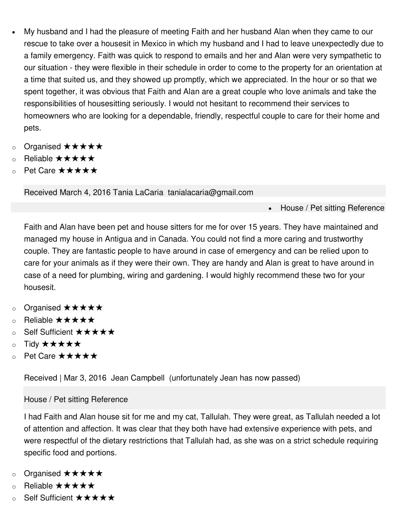- My husband and I had the pleasure of meeting Faith and her husband Alan when they came to our rescue to take over a housesit in Mexico in which my husband and I had to leave unexpectedly due to a family emergency. Faith was quick to respond to emails and her and Alan were very sympathetic to our situation - they were flexible in their schedule in order to come to the property for an orientation at a time that suited us, and they showed up promptly, which we appreciated. In the hour or so that we spent together, it was obvious that Faith and Alan are a great couple who love animals and take the responsibilities of housesitting seriously. I would not hesitant to recommend their services to homeowners who are looking for a dependable, friendly, respectful couple to care for their home and pets.
- o Organised ★★★★★
- o Reliable ★★★★★
- o Pet Care ★★★★★

Received March 4, 2016 Tania LaCaria tanialacaria@gmail.com

• House / Pet sitting Reference

Faith and Alan have been pet and house sitters for me for over 15 years. They have maintained and managed my house in Antigua and in Canada. You could not find a more caring and trustworthy couple. They are fantastic people to have around in case of emergency and can be relied upon to care for your animals as if they were their own. They are handy and Alan is great to have around in case of a need for plumbing, wiring and gardening. I would highly recommend these two for your housesit.

- o Organised ★★★★★
- o Reliable ★★★★★
- o Self Sufficient ★★★★★
- o Tidy ★★★★★
- o Pet Care ★★★★★

Received | Mar 3, 2016 Jean Campbell (unfortunately Jean has now passed)

## House / Pet sitting Reference

I had Faith and Alan house sit for me and my cat, Tallulah. They were great, as Tallulah needed a lot of attention and affection. It was clear that they both have had extensive experience with pets, and were respectful of the dietary restrictions that Tallulah had, as she was on a strict schedule requiring specific food and portions.

- o Organised ★★★★★
- o Reliable ★★★★★
- o Self Sufficient ★★★★★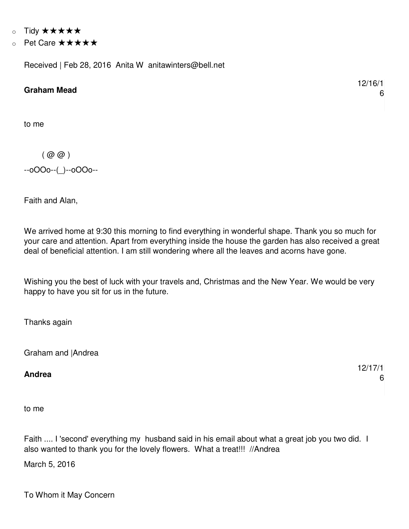- o Tidy ★★★★★
- o Pet Care ★★★★★

Received | Feb 28, 2016 Anita W anitawinters@bell.net

## **Graham Mead**

to me

 $(Q(\omega)\omega)$ --oOOo--(\_)--oOOo--

Faith and Alan,

We arrived home at 9:30 this morning to find everything in wonderful shape. Thank you so much for your care and attention. Apart from everything inside the house the garden has also received a great deal of beneficial attention. I am still wondering where all the leaves and acorns have gone.

Wishing you the best of luck with your travels and, Christmas and the New Year. We would be very happy to have you sit for us in the future.

Thanks again

Graham and |Andrea

**Andrea** 

to me

Faith .... I 'second' everything my husband said in his email about what a great job you two did. I also wanted to thank you for the lovely flowers. What a treat!!! //Andrea

March 5, 2016

To Whom it May Concern

12/16/1 6

12/17/1 6